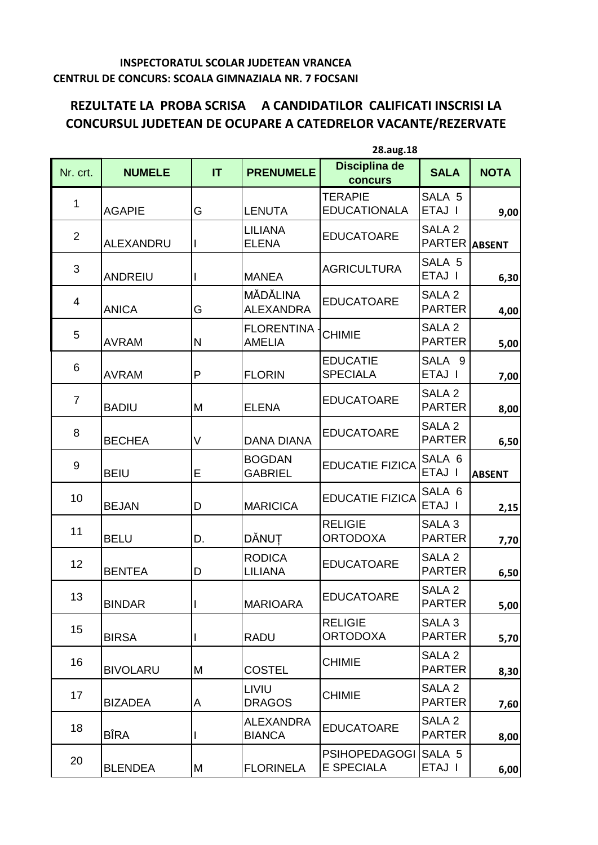## **INSPECTORATUL SCOLAR JUDETEAN VRANCEA CENTRUL DE CONCURS: SCOALA GIMNAZIALA NR. 7 FOCSANI**

## **REZULTATE LA PROBA SCRISA A CANDIDATILOR CALIFICATI INSCRISI LA CONCURSUL JUDETEAN DE OCUPARE A CATEDRELOR VACANTE/REZERVATE**

|                |                  |              | 28.aug.18                          |                                           |                                    |               |
|----------------|------------------|--------------|------------------------------------|-------------------------------------------|------------------------------------|---------------|
| Nr. crt.       | <b>NUMELE</b>    | IT           | <b>PRENUMELE</b>                   | Disciplina de<br><b>concurs</b>           | <b>SALA</b>                        | <b>NOTA</b>   |
| $\mathbf{1}$   | <b>AGAPIE</b>    | G            | <b>LENUTA</b>                      | <b>TERAPIE</b><br><b>EDUCATIONALA</b>     | SALA 5<br>ETAJ I                   | 9,00          |
| $\overline{2}$ | <b>ALEXANDRU</b> | L            | <b>LILIANA</b><br><b>ELENA</b>     | <b>EDUCATOARE</b>                         | SALA 2<br><b>PARTER</b>            | <b>ABSENT</b> |
| 3              | <b>ANDREIU</b>   |              | <b>MANEA</b>                       | <b>AGRICULTURA</b>                        | SALA 5<br>ETAJ I                   | 6,30          |
| 4              | <b>ANICA</b>     | G            | MĂDĂLINA<br><b>ALEXANDRA</b>       | <b>EDUCATOARE</b>                         | SALA <sub>2</sub><br><b>PARTER</b> | 4,00          |
| 5              | <b>AVRAM</b>     | $\mathsf{N}$ | <b>FLORENTINA</b><br><b>AMELIA</b> | <b>CHIMIE</b>                             | SALA <sub>2</sub><br><b>PARTER</b> | 5,00          |
| 6              | <b>AVRAM</b>     | P            | <b>FLORIN</b>                      | <b>EDUCATIE</b><br><b>SPECIALA</b>        | SALA 9<br>ETAJ I                   | 7,00          |
| $\overline{7}$ | <b>BADIU</b>     | M            | <b>ELENA</b>                       | <b>EDUCATOARE</b>                         | SALA <sub>2</sub><br><b>PARTER</b> | 8,00          |
| 8              | <b>BECHEA</b>    | V            | <b>DANA DIANA</b>                  | <b>EDUCATOARE</b>                         | SALA <sub>2</sub><br><b>PARTER</b> | 6,50          |
| 9              | <b>BEIU</b>      | Е            | <b>BOGDAN</b><br><b>GABRIEL</b>    | <b>EDUCATIE FIZICA</b>                    | SALA 6<br>ETAJ I                   | <b>ABSENT</b> |
| 10             | <b>BEJAN</b>     | D            | <b>MARICICA</b>                    | <b>EDUCATIE FIZICA</b>                    | SALA 6<br>ETAJ I                   | 2,15          |
| 11             | <b>BELU</b>      | D.           | DĂNUȚ                              | <b>RELIGIE</b><br><b>ORTODOXA</b>         | SALA 3<br><b>PARTER</b>            | 7,70          |
| 12             | <b>BENTEA</b>    | D            | <b>RODICA</b><br><b>LILIANA</b>    | <b>EDUCATOARE</b>                         | SALA <sub>2</sub><br><b>PARTER</b> | 6,50          |
| 13             | <b>BINDAR</b>    |              | <b>MARIOARA</b>                    | <b>EDUCATOARE</b>                         | SALA <sub>2</sub><br><b>PARTER</b> | 5,00          |
| 15             | <b>BIRSA</b>     |              | <b>RADU</b>                        | <b>RELIGIE</b><br><b>ORTODOXA</b>         | SALA 3<br><b>PARTER</b>            | 5,70          |
| 16             | <b>BIVOLARU</b>  | M            | <b>COSTEL</b>                      | <b>CHIMIE</b>                             | SALA <sub>2</sub><br><b>PARTER</b> | 8,30          |
| 17             | <b>BIZADEA</b>   | Α            | LIVIU<br><b>DRAGOS</b>             | <b>CHIMIE</b>                             | SALA <sub>2</sub><br><b>PARTER</b> | 7,60          |
| 18             | <b>BÎRA</b>      |              | <b>ALEXANDRA</b><br><b>BIANCA</b>  | <b>EDUCATOARE</b>                         | SALA <sub>2</sub><br><b>PARTER</b> | 8,00          |
| 20             | <b>BLENDEA</b>   | M            | <b>FLORINELA</b>                   | <b>PSIHOPEDAGOGI</b><br><b>E SPECIALA</b> | SALA 5<br>ETAJ I                   | 6,00          |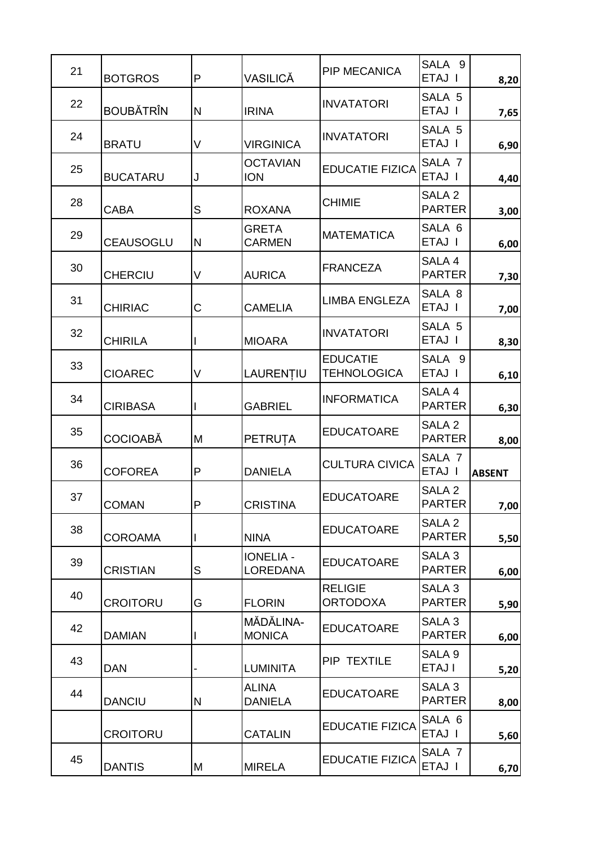| 21 | <b>BOTGROS</b>   | P | VASILICĂ                            | <b>PIP MECANICA</b>                   | SALA 9<br>ETAJ I                   | 8,20          |
|----|------------------|---|-------------------------------------|---------------------------------------|------------------------------------|---------------|
| 22 | <b>BOUBĂTRÎN</b> | N | <b>IRINA</b>                        | <b>INVATATORI</b>                     | SALA 5<br>ETAJ I                   | 7,65          |
| 24 | <b>BRATU</b>     | V | <b>VIRGINICA</b>                    | <b>INVATATORI</b>                     | SALA 5<br>ETAJ I                   | 6,90          |
| 25 | <b>BUCATARU</b>  | J | <b>OCTAVIAN</b><br><b>ION</b>       | <b>EDUCATIE FIZICA</b>                | SALA <sub>7</sub><br>ETAJ I        | 4,40          |
| 28 | <b>CABA</b>      | S | <b>ROXANA</b>                       | <b>CHIMIE</b>                         | SALA <sub>2</sub><br><b>PARTER</b> | 3,00          |
| 29 | <b>CEAUSOGLU</b> | Ν | <b>GRETA</b><br><b>CARMEN</b>       | <b>MATEMATICA</b>                     | SALA 6<br>ETAJ I                   | 6,00          |
| 30 | <b>CHERCIU</b>   | V | <b>AURICA</b>                       | <b>FRANCEZA</b>                       | SALA 4<br><b>PARTER</b>            | 7,30          |
| 31 | <b>CHIRIAC</b>   | С | <b>CAMELIA</b>                      | <b>LIMBA ENGLEZA</b>                  | SALA 8<br>ETAJ I                   | 7,00          |
| 32 | <b>CHIRILA</b>   |   | <b>MIOARA</b>                       | <b>INVATATORI</b>                     | SALA 5<br>ETAJ I                   | 8,30          |
| 33 | <b>CIOAREC</b>   | V | LAURENȚIU                           | <b>EDUCATIE</b><br><b>TEHNOLOGICA</b> | SALA 9<br>ETAJ I                   | 6,10          |
| 34 | <b>CIRIBASA</b>  |   | <b>GABRIEL</b>                      | <b>INFORMATICA</b>                    | SALA 4<br><b>PARTER</b>            | 6,30          |
| 35 | <b>COCIOABĂ</b>  | Μ | <b>PETRUȚA</b>                      | <b>EDUCATOARE</b>                     | SALA <sub>2</sub><br><b>PARTER</b> | 8,00          |
| 36 | <b>COFOREA</b>   | P | <b>DANIELA</b>                      | <b>CULTURA CIVICA</b>                 | SALA <sub>7</sub><br>ETAJ I        | <b>ABSENT</b> |
| 37 | <b>COMAN</b>     |   | <b>CRISTINA</b>                     | <b>EDUCATOARE</b>                     | SALA <sub>2</sub><br><b>PARTER</b> | 7,00          |
| 38 | <b>COROAMA</b>   |   | <b>NINA</b>                         | <b>EDUCATOARE</b>                     | SALA <sub>2</sub><br><b>PARTER</b> | 5,50          |
| 39 | <b>CRISTIAN</b>  | S | <b>IONELIA -</b><br><b>LOREDANA</b> | <b>EDUCATOARE</b>                     | SALA <sub>3</sub><br><b>PARTER</b> | 6,00          |
| 40 | <b>CROITORU</b>  | G | <b>FLORIN</b>                       | <b>RELIGIE</b><br><b>ORTODOXA</b>     | SALA 3<br><b>PARTER</b>            | 5,90          |
| 42 | <b>DAMIAN</b>    |   | MĂDĂLINA-<br><b>MONICA</b>          | <b>EDUCATOARE</b>                     | SALA <sub>3</sub><br><b>PARTER</b> | 6,00          |
| 43 | <b>DAN</b>       |   | <b>LUMINITA</b>                     | PIP TEXTILE                           | SALA <sub>9</sub><br>ETAJ I        | 5,20          |
| 44 | <b>DANCIU</b>    | N | <b>ALINA</b><br><b>DANIELA</b>      | <b>EDUCATOARE</b>                     | SALA 3<br><b>PARTER</b>            | 8,00          |
|    | <b>CROITORU</b>  |   | <b>CATALIN</b>                      | <b>EDUCATIE FIZICA</b>                | SALA 6<br>ETAJ I                   | 5,60          |
| 45 | <b>DANTIS</b>    | Μ | <b>MIRELA</b>                       | <b>EDUCATIE FIZICA</b>                | SALA <sub>7</sub><br>ETAJ I        | 6,70          |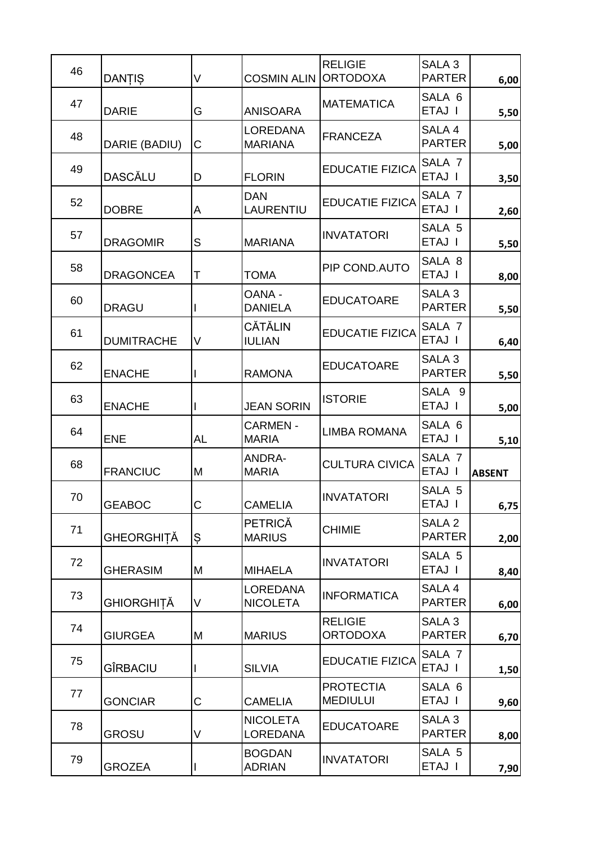| 46 |                   |    |                                    | <b>RELIGIE</b>                      | SALA <sub>3</sub>                  |               |
|----|-------------------|----|------------------------------------|-------------------------------------|------------------------------------|---------------|
|    | DANȚIȘ            | V  | <b>COSMIN ALIN</b>                 | <b>ORTODOXA</b>                     | <b>PARTER</b>                      | 6,00          |
| 47 | <b>DARIE</b>      | G  | <b>ANISOARA</b>                    | <b>MATEMATICA</b>                   | SALA 6<br>ETAJ I                   | 5,50          |
| 48 | DARIE (BADIU)     | С  | <b>LOREDANA</b><br><b>MARIANA</b>  | <b>FRANCEZA</b>                     | SALA 4<br><b>PARTER</b>            | 5,00          |
| 49 | <b>DASCĂLU</b>    | D  | <b>FLORIN</b>                      | <b>EDUCATIE FIZICA</b>              | SALA <sub>7</sub><br>ETAJ I        | 3,50          |
| 52 | <b>DOBRE</b>      | A  | <b>DAN</b><br>LAURENTIU            | <b>EDUCATIE FIZICA</b>              | SALA <sub>7</sub><br>ETAJ I        | 2,60          |
| 57 | <b>DRAGOMIR</b>   | S  | <b>MARIANA</b>                     | <b>INVATATORI</b>                   | SALA 5<br>ETAJ I                   | 5,50          |
| 58 | <b>DRAGONCEA</b>  | T  | <b>TOMA</b>                        | PIP COND.AUTO                       | SALA 8<br>ETAJ I                   | 8,00          |
| 60 | <b>DRAGU</b>      |    | OANA -<br><b>DANIELA</b>           | <b>EDUCATOARE</b>                   | SALA <sub>3</sub><br><b>PARTER</b> | 5,50          |
| 61 | <b>DUMITRACHE</b> | V  | <b>CĂTĂLIN</b><br><b>IULIAN</b>    | <b>EDUCATIE FIZICA</b>              | SALA <sub>7</sub><br>ETAJ I        | 6,40          |
| 62 | <b>ENACHE</b>     |    | <b>RAMONA</b>                      | <b>EDUCATOARE</b>                   | SALA <sub>3</sub><br><b>PARTER</b> | 5,50          |
| 63 | <b>ENACHE</b>     |    | <b>JEAN SORIN</b>                  | <b>ISTORIE</b>                      | SALA 9<br>ETAJ I                   | 5,00          |
| 64 | <b>ENE</b>        | AL | <b>CARMEN -</b><br><b>MARIA</b>    | <b>LIMBA ROMANA</b>                 | SALA 6<br>ETAJ I                   | 5,10          |
| 68 | <b>FRANCIUC</b>   | Μ  | <b>ANDRA-</b><br><b>MARIA</b>      | <b>CULTURA CIVICA</b>               | SALA <sub>7</sub><br>ETAJ I        | <b>ABSENT</b> |
| 70 | <b>GEABOC</b>     | С  | <b>CAMELIA</b>                     | <b>INVATATORI</b>                   | SALA 5<br>ETAJ I                   | 6,75          |
| 71 | GHEORGHIȚĂ        | Ş  | PETRICĂ<br><b>MARIUS</b>           | <b>CHIMIE</b>                       | SALA <sub>2</sub><br><b>PARTER</b> | 2,00          |
| 72 | <b>GHERASIM</b>   | M  | <b>MIHAELA</b>                     | <b>INVATATORI</b>                   | SALA 5<br>ETAJ I                   | 8,40          |
| 73 | GHIORGHIȚĂ        | V  | <b>LOREDANA</b><br><b>NICOLETA</b> | <b>INFORMATICA</b>                  | SALA 4<br><b>PARTER</b>            | 6,00          |
| 74 | <b>GIURGEA</b>    | M  | <b>MARIUS</b>                      | <b>RELIGIE</b><br><b>ORTODOXA</b>   | SALA <sub>3</sub><br><b>PARTER</b> | 6,70          |
| 75 | GÎRBACIU          |    | <b>SILVIA</b>                      | <b>EDUCATIE FIZICA</b>              | SALA <sub>7</sub><br>ETAJ I        | 1,50          |
| 77 | <b>GONCIAR</b>    | С  | <b>CAMELIA</b>                     | <b>PROTECTIA</b><br><b>MEDIULUI</b> | SALA 6<br>ETAJ I                   | 9,60          |
| 78 | <b>GROSU</b>      | V  | <b>NICOLETA</b><br>LOREDANA        | <b>EDUCATOARE</b>                   | SALA 3<br><b>PARTER</b>            | 8,00          |
|    |                   |    |                                    |                                     | SALA 5                             |               |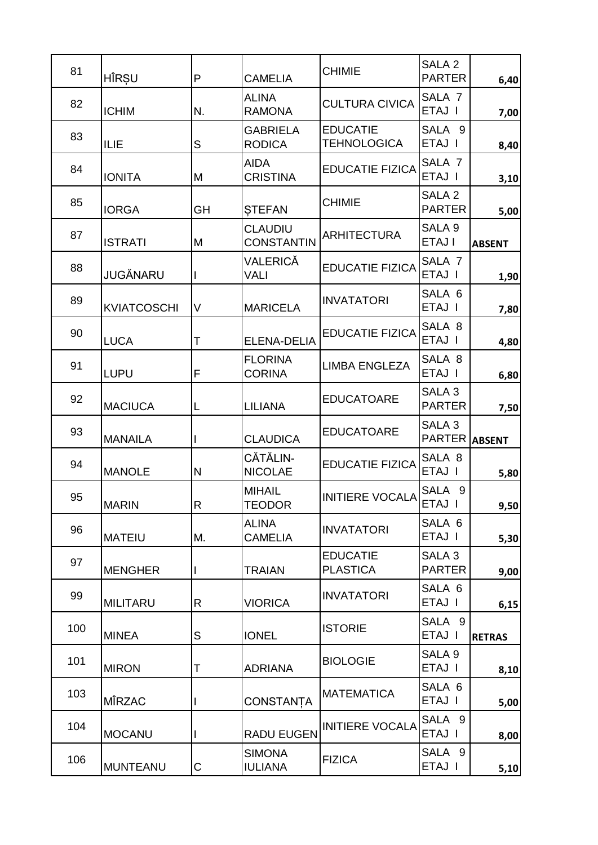| 81  | HÎRȘU              | P  | <b>CAMELIA</b>                      | <b>CHIMIE</b>                         | SALA <sub>2</sub><br><b>PARTER</b> | 6,40          |
|-----|--------------------|----|-------------------------------------|---------------------------------------|------------------------------------|---------------|
| 82  | <b>ICHIM</b>       | N. | <b>ALINA</b><br><b>RAMONA</b>       | <b>CULTURA CIVICA</b>                 | SALA <sub>7</sub><br>ETAJ I        | 7,00          |
| 83  | ILIE               | S  | <b>GABRIELA</b><br><b>RODICA</b>    | <b>EDUCATIE</b><br><b>TEHNOLOGICA</b> | SALA 9<br>ETAJ I                   | 8,40          |
| 84  | <b>IONITA</b>      | M  | <b>AIDA</b><br><b>CRISTINA</b>      | <b>EDUCATIE FIZICA</b>                | SALA <sub>7</sub><br>ETAJ I        | 3,10          |
| 85  | <b>IORGA</b>       | GH | <b>STEFAN</b>                       | <b>CHIMIE</b>                         | SALA <sub>2</sub><br><b>PARTER</b> | 5,00          |
| 87  | <b>ISTRATI</b>     | M  | <b>CLAUDIU</b><br><b>CONSTANTIN</b> | <b>ARHITECTURA</b>                    | SALA <sub>9</sub><br>ETAJ I        | <b>ABSENT</b> |
| 88  | <b>JUGĂNARU</b>    |    | VALERICĂ<br>VALI                    | <b>EDUCATIE FIZICA</b>                | SALA <sub>7</sub><br>ETAJ I        | 1,90          |
| 89  | <b>KVIATCOSCHI</b> | V  | <b>MARICELA</b>                     | <b>INVATATORI</b>                     | SALA 6<br>ETAJ I                   | 7,80          |
| 90  | <b>LUCA</b>        | Τ  | <b>ELENA-DELIA</b>                  | <b>EDUCATIE FIZICA</b>                | SALA 8<br>ETAJ I                   | 4,80          |
| 91  | <b>LUPU</b>        | F  | <b>FLORINA</b><br><b>CORINA</b>     | <b>LIMBA ENGLEZA</b>                  | SALA 8<br>ETAJ I                   | 6,80          |
| 92  | <b>MACIUCA</b>     | L  | <b>LILIANA</b>                      | <b>EDUCATOARE</b>                     | SALA 3<br><b>PARTER</b>            | 7,50          |
| 93  | <b>MANAILA</b>     |    | <b>CLAUDICA</b>                     | <b>EDUCATOARE</b>                     | SALA <sub>3</sub><br><b>PARTER</b> | <b>ABSENT</b> |
| 94  | <b>MANOLE</b>      | N  | CĂTĂLIN-<br><b>NICOLAE</b>          | <b>EDUCATIE FIZICA</b>                | SALA 8<br>ETAJ I                   | 5,80          |
| 95  | <b>MARIN</b>       | R  | <b>MIHAIL</b><br><b>TEODOR</b>      | <b>INITIERE VOCALA</b>                | SALA<br>9<br>ETAJ I                | 9,50          |
| 96  | <b>MATEIU</b>      | М. | <b>ALINA</b><br>CAMELIA             | <b>INVATATORI</b>                     | SALA 6<br>ETAJ I                   | 5,30          |
| 97  | <b>MENGHER</b>     |    | <b>TRAIAN</b>                       | <b>EDUCATIE</b><br><b>PLASTICA</b>    | SALA <sub>3</sub><br><b>PARTER</b> | 9,00          |
| 99  | <b>MILITARU</b>    | R  | <b>VIORICA</b>                      | <b>INVATATORI</b>                     | SALA 6<br>ETAJ I                   | 6,15          |
| 100 | <b>MINEA</b>       | S  | <b>IONEL</b>                        | <b>ISTORIE</b>                        | SALA 9<br>ETAJ I                   | <b>RETRAS</b> |
| 101 | <b>MIRON</b>       | Т  | <b>ADRIANA</b>                      | <b>BIOLOGIE</b>                       | SALA <sub>9</sub><br>ETAJ I        | 8,10          |
| 103 | <b>MÎRZAC</b>      |    | <b>CONSTANTA</b>                    | <b>MATEMATICA</b>                     | SALA 6<br>ETAJ I                   | 5,00          |
| 104 | <b>MOCANU</b>      |    | <b>RADU EUGEN</b>                   | <b>INITIERE VOCALA</b>                | SALA 9<br>ETAJ I                   | 8,00          |
| 106 | <b>MUNTEANU</b>    | С  | <b>SIMONA</b><br><b>IULIANA</b>     | <b>FIZICA</b>                         | SALA 9<br>ETAJ I                   | 5,10          |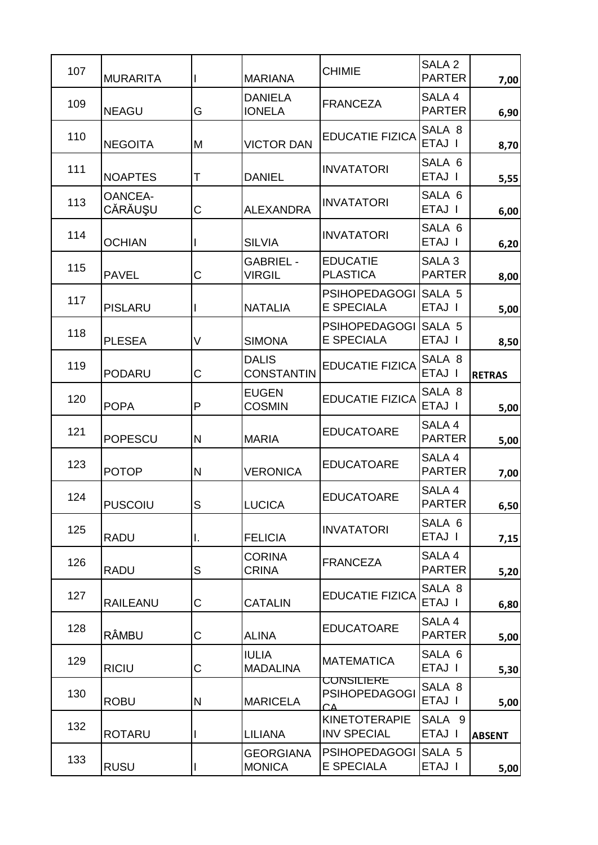| 107 | <b>MURARITA</b>           |    | <b>MARIANA</b>                    | <b>CHIMIE</b>                                   | SALA <sub>2</sub><br><b>PARTER</b> | 7,00          |
|-----|---------------------------|----|-----------------------------------|-------------------------------------------------|------------------------------------|---------------|
| 109 | <b>NEAGU</b>              | G  | <b>DANIELA</b><br><b>IONELA</b>   | <b>FRANCEZA</b>                                 | SALA 4<br><b>PARTER</b>            | 6,90          |
| 110 | <b>NEGOITA</b>            | M  | <b>VICTOR DAN</b>                 | <b>EDUCATIE FIZICA</b>                          | SALA 8<br>ETAJ I                   | 8,70          |
| 111 | <b>NOAPTES</b>            | Τ  | <b>DANIEL</b>                     | <b>INVATATORI</b>                               | SALA 6<br>ETAJ I                   | 5,55          |
| 113 | <b>OANCEA-</b><br>CĂRĂUŞU | C  | <b>ALEXANDRA</b>                  | <b>INVATATORI</b>                               | SALA 6<br>ETAJ I                   | 6,00          |
| 114 | <b>OCHIAN</b>             |    | <b>SILVIA</b>                     | <b>INVATATORI</b>                               | SALA 6<br>ETAJ I                   | 6,20          |
| 115 | <b>PAVEL</b>              | C  | <b>GABRIEL -</b><br><b>VIRGIL</b> | <b>EDUCATIE</b><br><b>PLASTICA</b>              | SALA <sub>3</sub><br><b>PARTER</b> | 8,00          |
| 117 | <b>PISLARU</b>            |    | <b>NATALIA</b>                    | <b>PSIHOPEDAGOGI</b><br><b>E SPECIALA</b>       | SALA 5<br>ETAJ I                   | 5,00          |
| 118 | <b>PLESEA</b>             | V  | <b>SIMONA</b>                     | <b>PSIHOPEDAGOGI</b><br>E SPECIALA              | SALA 5<br>ETAJ I                   | 8,50          |
| 119 | <b>PODARU</b>             | C  | <b>DALIS</b><br><b>CONSTANTIN</b> | <b>EDUCATIE FIZICA</b>                          | SALA 8<br>ETAJ I                   | <b>RETRAS</b> |
| 120 | <b>POPA</b>               | P  | <b>EUGEN</b><br><b>COSMIN</b>     | <b>EDUCATIE FIZICA</b>                          | SALA 8<br>ETAJ I                   | 5,00          |
| 121 | <b>POPESCU</b>            | N  | <b>MARIA</b>                      | <b>EDUCATOARE</b>                               | SALA 4<br><b>PARTER</b>            | 5,00          |
| 123 | <b>POTOP</b>              | N  | <b>VERONICA</b>                   | <b>EDUCATOARE</b>                               | SALA 4<br><b>PARTER</b>            | 7,00          |
| 124 | <b>PUSCOIU</b>            | S  | <b>LUCICA</b>                     | <b>EDUCATOARE</b>                               | SALA 4<br><b>PARTER</b>            | 6,50          |
| 125 | <b>RADU</b>               | I. | <b>FELICIA</b>                    | <b>INVATATORI</b>                               | SALA 6<br>ETAJ I                   | 7,15          |
| 126 | <b>RADU</b>               | S  | <b>CORINA</b><br><b>CRINA</b>     | <b>FRANCEZA</b>                                 | SALA 4<br><b>PARTER</b>            | 5,20          |
| 127 | <b>RAILEANU</b>           | С  | <b>CATALIN</b>                    | <b>EDUCATIE FIZICA</b>                          | SALA 8<br>ETAJ I                   | 6,80          |
| 128 | <b>RÂMBU</b>              | С  | <b>ALINA</b>                      | <b>EDUCATOARE</b>                               | SALA 4<br><b>PARTER</b>            | 5,00          |
| 129 | <b>RICIU</b>              | С  | <b>IULIA</b><br><b>MADALINA</b>   | <b>MATEMATICA</b>                               | SALA 6<br>ETAJ I                   | 5,30          |
| 130 | <b>ROBU</b>               | N  | <b>MARICELA</b>                   | <b>CONSILIERE</b><br><b>PSIHOPEDAGOGI</b><br>CΔ | SALA 8<br>ETAJ I                   | 5,00          |
| 132 | <b>ROTARU</b>             |    | <b>LILIANA</b>                    | <b>KINETOTERAPIE</b><br><b>INV SPECIAL</b>      | SALA 9<br>ETAJ I                   | <b>ABSENT</b> |
| 133 | <b>RUSU</b>               |    | <b>GEORGIANA</b><br><b>MONICA</b> | <b>PSIHOPEDAGOGI</b><br>E SPECIALA              | SALA 5<br>ETAJ I                   | $5,00$        |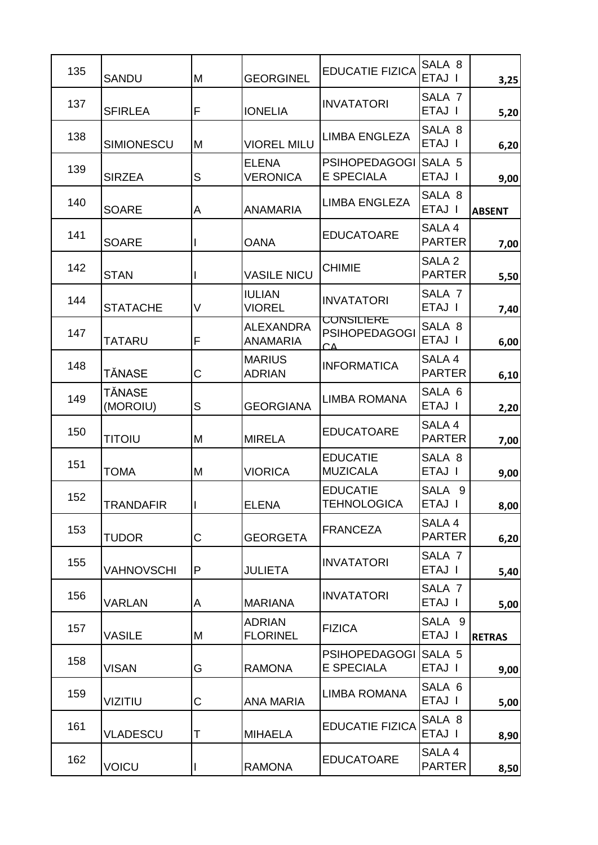| 135 | <b>SANDU</b>       | M | <b>GEORGINEL</b>                    | <b>EDUCATIE FIZICA</b>                          | SALA 8<br>ETAJ I                   | 3,25          |
|-----|--------------------|---|-------------------------------------|-------------------------------------------------|------------------------------------|---------------|
| 137 | <b>SFIRLEA</b>     | F | <b>IONELIA</b>                      | <b>INVATATORI</b>                               | SALA <sub>7</sub><br>ETAJ I        | 5,20          |
| 138 | <b>SIMIONESCU</b>  | M | <b>VIOREL MILU</b>                  | <b>LIMBA ENGLEZA</b>                            | SALA 8<br>ETAJ I                   | 6,20          |
| 139 | <b>SIRZEA</b>      | S | <b>ELENA</b><br><b>VERONICA</b>     | <b>PSIHOPEDAGOGI</b><br><b>E SPECIALA</b>       | SALA 5<br>ETAJ I                   | 9,00          |
| 140 | <b>SOARE</b>       | A | <b>ANAMARIA</b>                     | <b>LIMBA ENGLEZA</b>                            | SALA 8<br>ETAJ I                   | <b>ABSENT</b> |
| 141 | <b>SOARE</b>       |   | <b>OANA</b>                         | <b>EDUCATOARE</b>                               | SALA 4<br><b>PARTER</b>            | 7,00          |
| 142 | <b>STAN</b>        |   | <b>VASILE NICU</b>                  | <b>CHIMIE</b>                                   | SALA <sub>2</sub><br><b>PARTER</b> | 5,50          |
| 144 | <b>STATACHE</b>    | V | <b>IULIAN</b><br><b>VIOREL</b>      | <b>INVATATORI</b>                               | SALA <sub>7</sub><br>ETAJ I        | 7,40          |
| 147 | <b>TATARU</b>      | F | <b>ALEXANDRA</b><br><b>ANAMARIA</b> | <b>CONSILIERE</b><br><b>PSIHOPEDAGOGI</b><br>CΔ | SALA 8<br>ETAJ I                   | 6,00          |
| 148 | TĂNASE             | С | <b>MARIUS</b><br><b>ADRIAN</b>      | <b>INFORMATICA</b>                              | SALA 4<br><b>PARTER</b>            | 6,10          |
| 149 | TĂNASE<br>(MOROIU) | S | <b>GEORGIANA</b>                    | <b>LIMBA ROMANA</b>                             | SALA 6<br>ETAJ I                   | 2,20          |
| 150 | <b>TITOIU</b>      | M | <b>MIRELA</b>                       | <b>EDUCATOARE</b>                               | SALA 4<br><b>PARTER</b>            | 7,00          |
| 151 | <b>TOMA</b>        | M | <b>VIORICA</b>                      | <b>EDUCATIE</b><br><b>MUZICALA</b>              | SALA 8<br>ETAJ I                   | 9,00          |
| 152 | <b>TRANDAFIR</b>   |   | <b>ELENA</b>                        | <b>EDUCATIE</b><br><b>TEHNOLOGICA</b>           | SALA 9<br>ETAJ I                   | 8,00          |
| 153 | <b>TUDOR</b>       | С | <b>GEORGETA</b>                     | <b>FRANCEZA</b>                                 | SALA 4<br><b>PARTER</b>            | 6,20          |
| 155 | VAHNOVSCHI         | P | <b>JULIETA</b>                      | <b>INVATATORI</b>                               | SALA <sub>7</sub><br>ETAJ I        | 5,40          |
| 156 | VARLAN             | A | <b>MARIANA</b>                      | <b>INVATATORI</b>                               | SALA <sub>7</sub><br>ETAJ I        | 5,00          |
| 157 | <b>VASILE</b>      | M | <b>ADRIAN</b><br><b>FLORINEL</b>    | <b>FIZICA</b>                                   | SALA 9<br>ETAJ I                   | <b>RETRAS</b> |
| 158 | <b>VISAN</b>       | G | <b>RAMONA</b>                       | <b>PSIHOPEDAGOGI</b><br><b>E SPECIALA</b>       | SALA 5<br>ETAJ I                   | 9,00          |
| 159 | <b>VIZITIU</b>     | С | <b>ANA MARIA</b>                    | <b>LIMBA ROMANA</b>                             | SALA 6<br>ETAJ I                   | 5,00          |
| 161 | <b>VLADESCU</b>    | T | <b>MIHAELA</b>                      | <b>EDUCATIE FIZICA</b>                          | SALA 8<br>ETAJ I                   | 8,90          |
| 162 | <b>VOICU</b>       |   | <b>RAMONA</b>                       | <b>EDUCATOARE</b>                               | SALA 4<br><b>PARTER</b>            | 8,50          |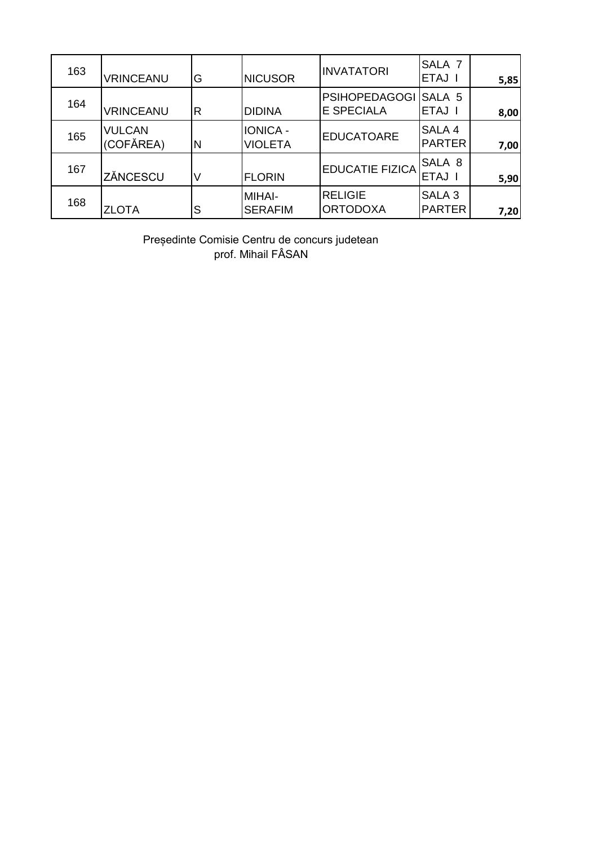| 163 | <b>VRINCEANU</b>           | G | <b>NICUSOR</b>             | <b>INVATATORI</b>                         | SALA <sub>7</sub><br>ETAJ I        | 5,85 |
|-----|----------------------------|---|----------------------------|-------------------------------------------|------------------------------------|------|
| 164 | <b>VRINCEANU</b>           | R | <b>DIDINA</b>              | <b>PSIHOPEDAGOGI</b><br><b>E SPECIALA</b> | SALA 5<br>ETAJ I                   | 8,00 |
| 165 | <b>VULCAN</b><br>(COFĂREA) | N | IONICA -<br><b>VIOLETA</b> | <b>EDUCATOARE</b>                         | SALA 4<br><b>PARTER</b>            | 7,00 |
| 167 | ZĂNCESCU                   |   | <b>FLORIN</b>              | <b>EDUCATIE FIZICA</b>                    | SALA 8<br>ETAJ I                   | 5,90 |
| 168 | <b>ZLOTA</b>               | S | MIHAI-<br><b>SERAFIM</b>   | <b>RELIGIE</b><br><b>ORTODOXA</b>         | SALA <sub>3</sub><br><b>PARTER</b> | 7,20 |

Președinte Comisie Centru de concurs judetean prof. Mihail FÂSAN